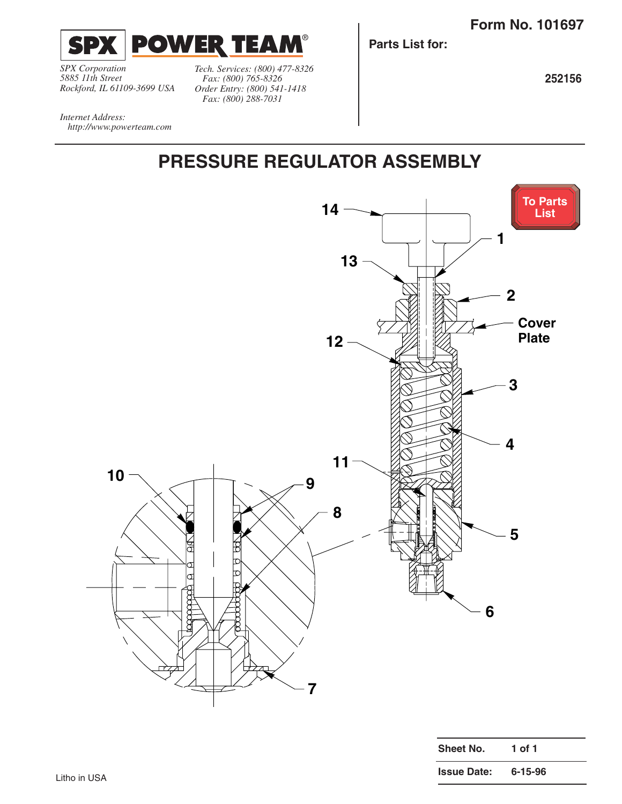**Issue Date: 6-15-96**

<span id="page-0-0"></span>

*SPX Corporation 5885 11th Street Rockford, IL 61109-3699 USA*

*http://www.powerteam.com*

*Internet Address:* 

*Tech. Services: (800) 477-8326 Fax: (800) 765-8326 Order Entry: (800) 541-1418 Fax: (800) 288-7031*

**Parts List for:**

**252156**

## **PRESSURE REGULATOR ASSEMBLY**

®